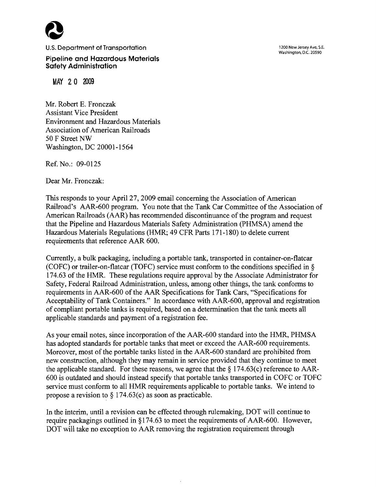

U.S. Department of Transportation

**1200 New Jersey Ave, S.E. Washington, D.C. 20590** 

**Pipeline and Hazardous Materials Safety Administration** 

MAY 20 2009

Mr. Robert E. Fronczak Assistant Vice President Environment and Hazardous Materials Association of American Railroads 50 F Street NW Washington, DC 20001-1564

Ref. No.: 09-0125

Dear Mr. Fronczak:

This responds to your April 27,2009 email concerning the Association of American Railroad's AAR-600 program. You note that the Tank Car Committee of the Association of American Railroads (AAR) has recommended discontinuance of the program and request that the Pipeline and Hazardous Materials Safety Administration (PHMSA) amend the Hazardous Materials Regulations (HMR; 49 CFR Parts 171-180) to delete current requirements that reference AAR 600.

Currently, a bulk packaging, including a portable tank, transported in container-on-flatcar (COFC) or trailer-on-flatcar (TOFC) service must conform to the conditions specified in *5*  174.63 of the HMR. These regulations require approval by the Associate Administrator for Safety, Federal Railroad Administration, unless, among other things, the tank conforms to requirements in AAR-600 of the **AAR** Specifications for Tank Cars, "Specifications for Acceptability of Tank Containers." In accordance with AAR-600, approval and registration of compliant portable tanks is required, based on a determination that the tank meets all applicable standards and payment of a registration fee.

As your email notes, since incorporation of the AAR-600 standard into the HMR, PHMSA has adopted standards for portable tanks that meet or exceed the AAR-600 requirements. Moreover, most of the portable tanks listed in the AAR-600 standard are prohibited from new construction, although they may remain in service provided that they continue to meet the applicable standard. For these reasons, we agree that the *5* 174.63(c) reference to AAR-600 is outdated and should instead specify that portable tanks transported in COFC or TOFC service must conform to all HMR requirements applicable to portable tanks. We intend to propose a revision to *5* 174.63(c) as soon as practicable.

In the interim, until a revision can be effected through rulemaking, DOT will continue to require packagings outlined in *9* 174.63 to meet the requirements of AAR-600. However, DOT will take no exception to AAR removing the registration requirement through